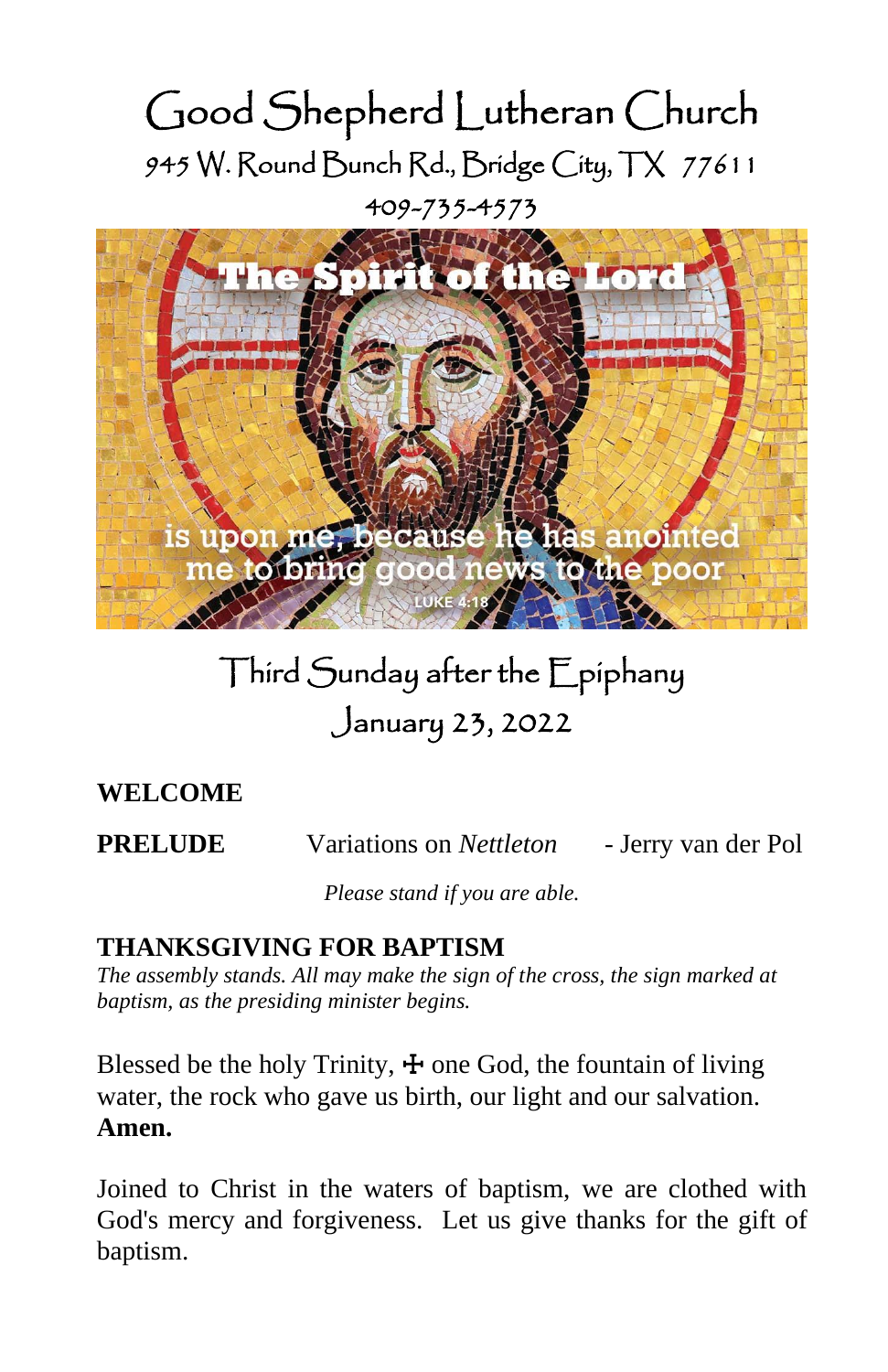# Good Shepherd Lutheran Church 945 W. Round Bunch Rd., Bridge City, TX 77611 409-735-4573



# Third Sunday after the Epiphany January 23, 2022

# **WELCOME**

**PRELUDE** Variations on *Nettleton* - Jerry van der Pol

*Please stand if you are able.*

# **THANKSGIVING FOR BAPTISM**

*The assembly stands. All may make the sign of the cross, the sign marked at baptism, as the presiding minister begins.*

Blessed be the holy Trinity,  $\pm$  one God, the fountain of living water, the rock who gave us birth, our light and our salvation. **Amen.**

Joined to Christ in the waters of baptism, we are clothed with God's mercy and forgiveness. Let us give thanks for the gift of baptism.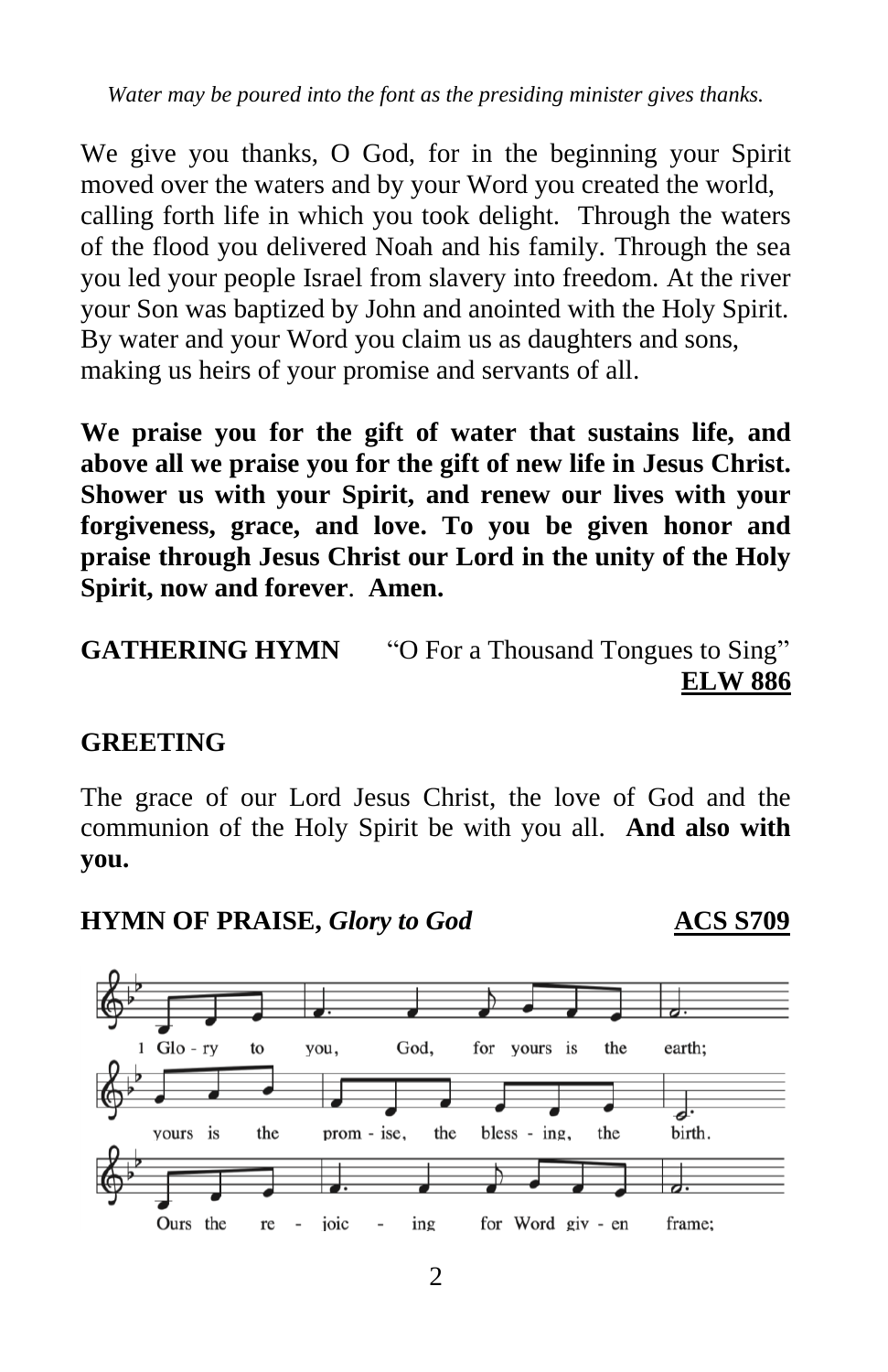*Water may be poured into the font as the presiding minister gives thanks.*

We give you thanks, O God, for in the beginning your Spirit moved over the waters and by your Word you created the world, calling forth life in which you took delight. Through the waters of the flood you delivered Noah and his family. Through the sea you led your people Israel from slavery into freedom. At the river your Son was baptized by John and anointed with the Holy Spirit. By water and your Word you claim us as daughters and sons, making us heirs of your promise and servants of all.

**We praise you for the gift of water that sustains life, and above all we praise you for the gift of new life in Jesus Christ. Shower us with your Spirit, and renew our lives with your forgiveness, grace, and love. To you be given honor and praise through Jesus Christ our Lord in the unity of the Holy Spirit, now and forever**. **Amen.** 

### **GREETING**

The grace of our Lord Jesus Christ, the love of God and the communion of the Holy Spirit be with you all. **And also with you.**





**GATHERING HYMN** "O For a Thousand Tongues to Sing" **ELW 886**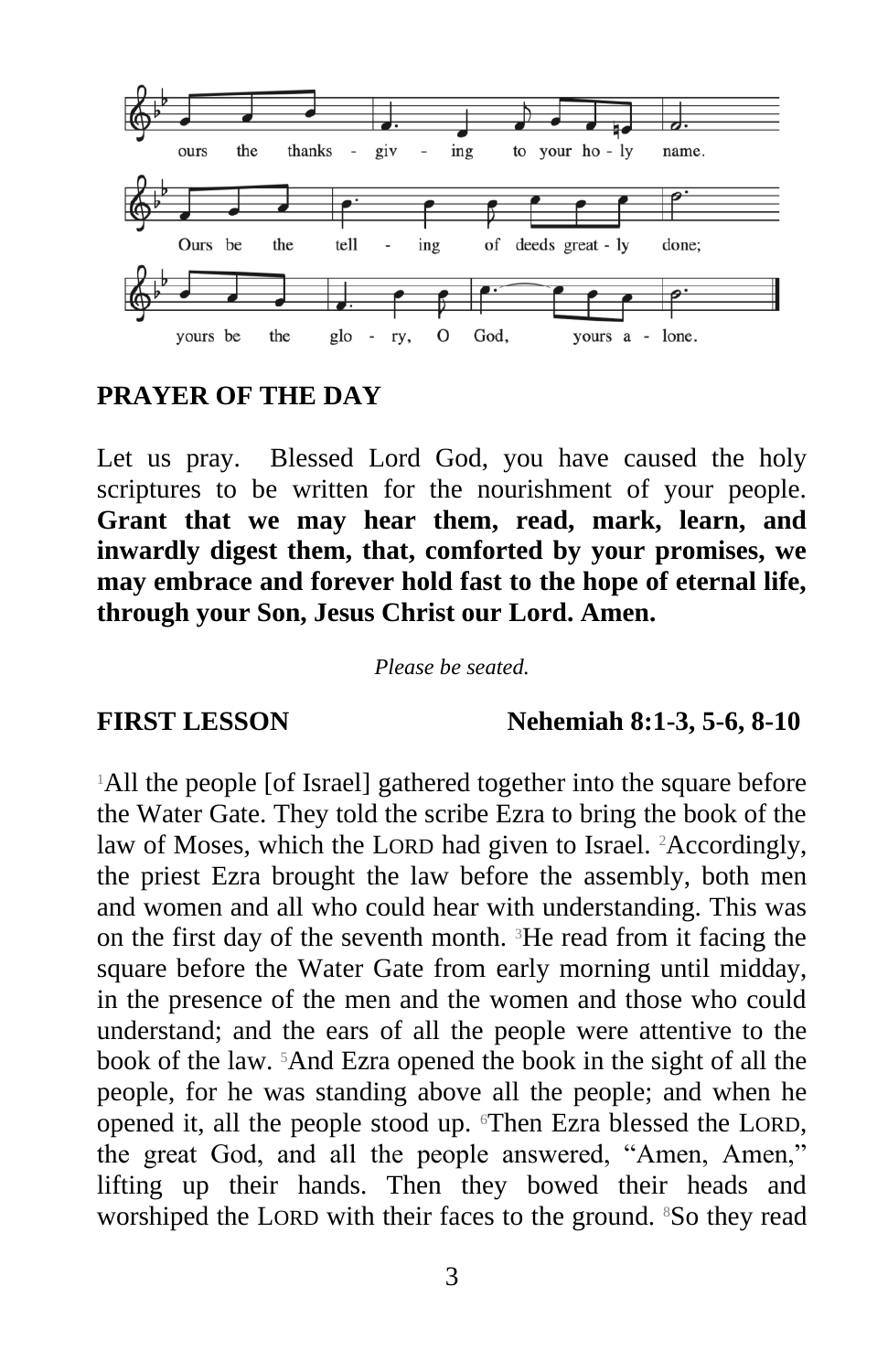

#### **PRAYER OF THE DAY**

Let us pray. Blessed Lord God, you have caused the holy scriptures to be written for the nourishment of your people. **Grant that we may hear them, read, mark, learn, and inwardly digest them, that, comforted by your promises, we may embrace and forever hold fast to the hope of eternal life, through your Son, Jesus Christ our Lord. Amen.**

*Please be seated.*

#### **FIRST LESSON Nehemiah 8:1-3, 5-6, 8-10**

<sup>1</sup>All the people [of Israel] gathered together into the square before the Water Gate. They told the scribe Ezra to bring the book of the law of Moses, which the LORD had given to Israel. <sup>2</sup>Accordingly, the priest Ezra brought the law before the assembly, both men and women and all who could hear with understanding. This was on the first day of the seventh month. 3He read from it facing the square before the Water Gate from early morning until midday, in the presence of the men and the women and those who could understand; and the ears of all the people were attentive to the book of the law. 5And Ezra opened the book in the sight of all the people, for he was standing above all the people; and when he opened it, all the people stood up. Then Ezra blessed the LORD, the great God, and all the people answered, "Amen, Amen," lifting up their hands. Then they bowed their heads and worshiped the LORD with their faces to the ground. <sup>8</sup>So they read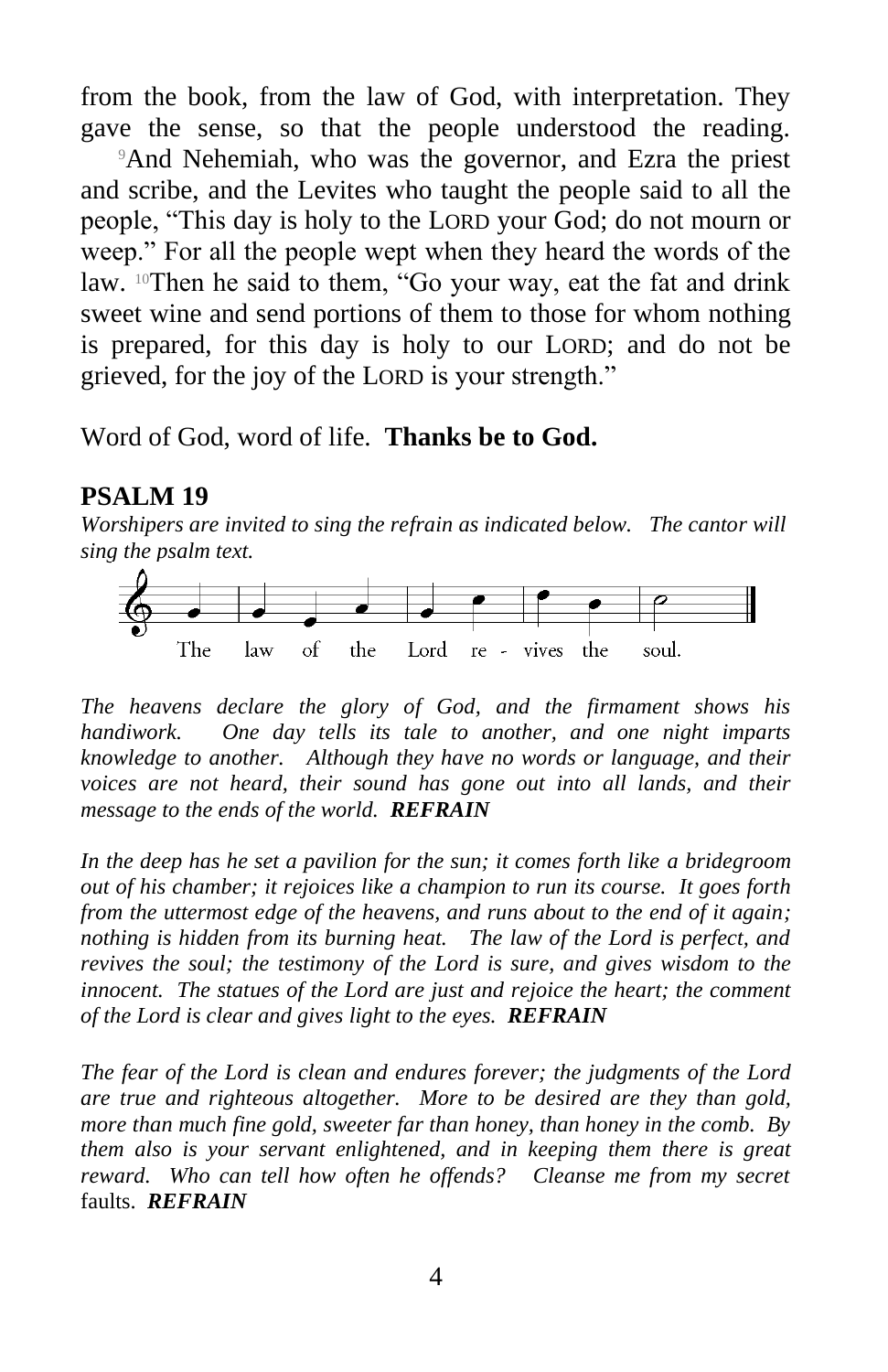from the book, from the law of God, with interpretation. They gave the sense, so that the people understood the reading.

<sup>9</sup>And Nehemiah, who was the governor, and Ezra the priest and scribe, and the Levites who taught the people said to all the people, "This day is holy to the LORD your God; do not mourn or weep." For all the people wept when they heard the words of the law. <sup>10</sup>Then he said to them, "Go your way, eat the fat and drink sweet wine and send portions of them to those for whom nothing is prepared, for this day is holy to our LORD; and do not be grieved, for the joy of the LORD is your strength."

Word of God, word of life. **Thanks be to God.**

#### **PSALM 19**

*Worshipers are invited to sing the refrain as indicated below. The cantor will sing the psalm text.*



*The heavens declare the glory of God, and the firmament shows his handiwork. One day tells its tale to another, and one night imparts knowledge to another. Although they have no words or language, and their voices are not heard, their sound has gone out into all lands, and their message to the ends of the world. REFRAIN*

*In the deep has he set a pavilion for the sun; it comes forth like a bridegroom out of his chamber; it rejoices like a champion to run its course. It goes forth from the uttermost edge of the heavens, and runs about to the end of it again; nothing is hidden from its burning heat. The law of the Lord is perfect, and revives the soul; the testimony of the Lord is sure, and gives wisdom to the innocent. The statues of the Lord are just and rejoice the heart; the comment of the Lord is clear and gives light to the eyes. REFRAIN*

*The fear of the Lord is clean and endures forever; the judgments of the Lord are true and righteous altogether. More to be desired are they than gold, more than much fine gold, sweeter far than honey, than honey in the comb. By them also is your servant enlightened, and in keeping them there is great reward. Who can tell how often he offends? Cleanse me from my secret*  faults. *REFRAIN*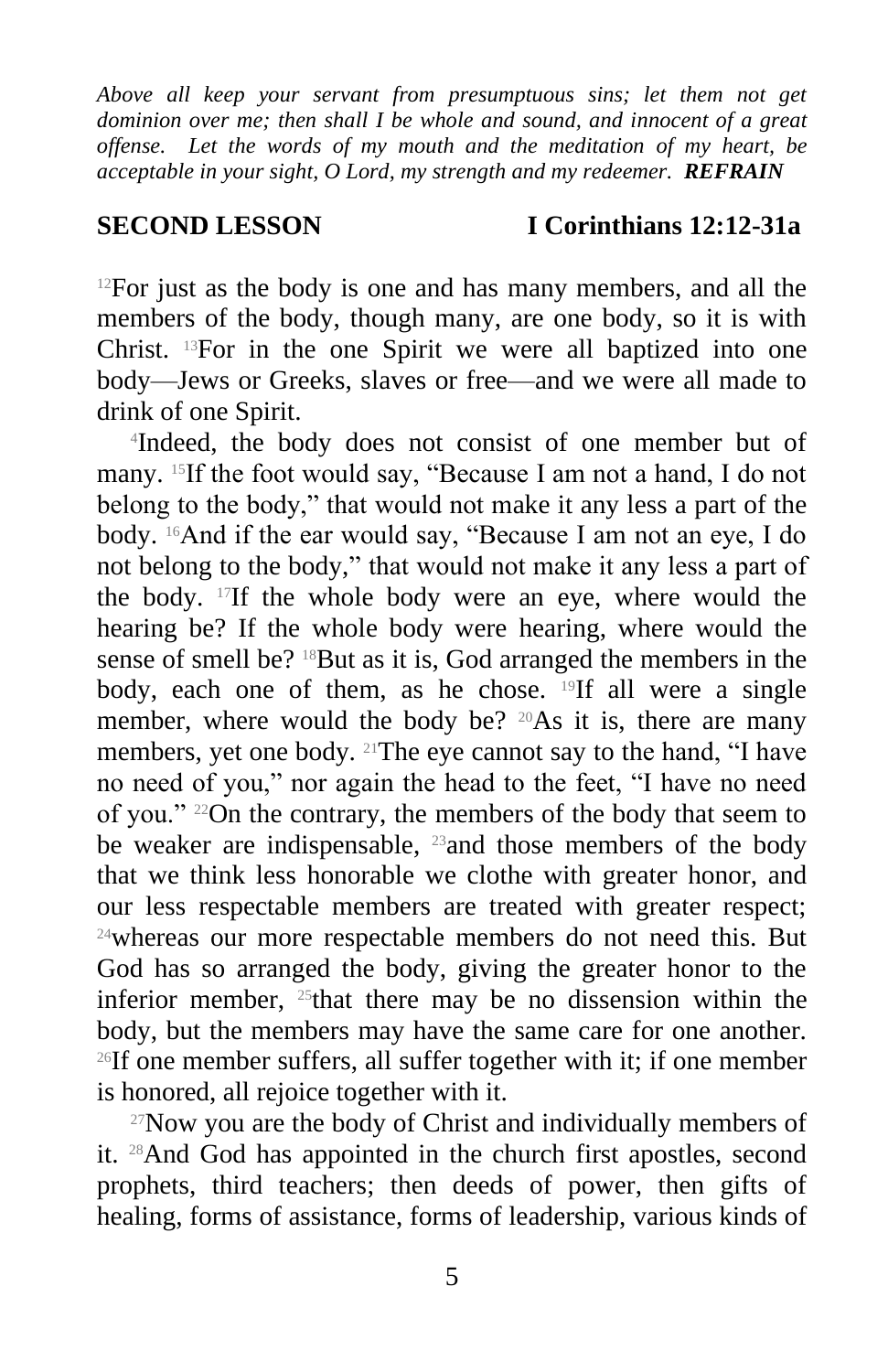*Above all keep your servant from presumptuous sins; let them not get dominion over me; then shall I be whole and sound, and innocent of a great offense. Let the words of my mouth and the meditation of my heart, be acceptable in your sight, O Lord, my strength and my redeemer. REFRAIN*

### **SECOND LESSON I Corinthians 12:12-31a**

 $12$ For just as the body is one and has many members, and all the members of the body, though many, are one body, so it is with Christ. 13For in the one Spirit we were all baptized into one body—Jews or Greeks, slaves or free—and we were all made to drink of one Spirit.

4 Indeed, the body does not consist of one member but of many. 15If the foot would say, "Because I am not a hand, I do not belong to the body," that would not make it any less a part of the body. 16And if the ear would say, "Because I am not an eye, I do not belong to the body," that would not make it any less a part of the body. 17If the whole body were an eye, where would the hearing be? If the whole body were hearing, where would the sense of smell be? <sup>18</sup>But as it is, God arranged the members in the body, each one of them, as he chose. <sup>19</sup>If all were a single member, where would the body be?  $20As$  it is, there are many members, yet one body. 21The eye cannot say to the hand, "I have no need of you," nor again the head to the feet, "I have no need of you." 22On the contrary, the members of the body that seem to be weaker are indispensable, <sup>23</sup>and those members of the body that we think less honorable we clothe with greater honor, and our less respectable members are treated with greater respect; <sup>24</sup>whereas our more respectable members do not need this. But God has so arranged the body, giving the greater honor to the inferior member,  $25$ that there may be no dissension within the body, but the members may have the same care for one another. <sup>26</sup>If one member suffers, all suffer together with it; if one member is honored, all rejoice together with it.

 $27$ Now you are the body of Christ and individually members of it. 28And God has appointed in the church first apostles, second prophets, third teachers; then deeds of power, then gifts of healing, forms of assistance, forms of leadership, various kinds of

5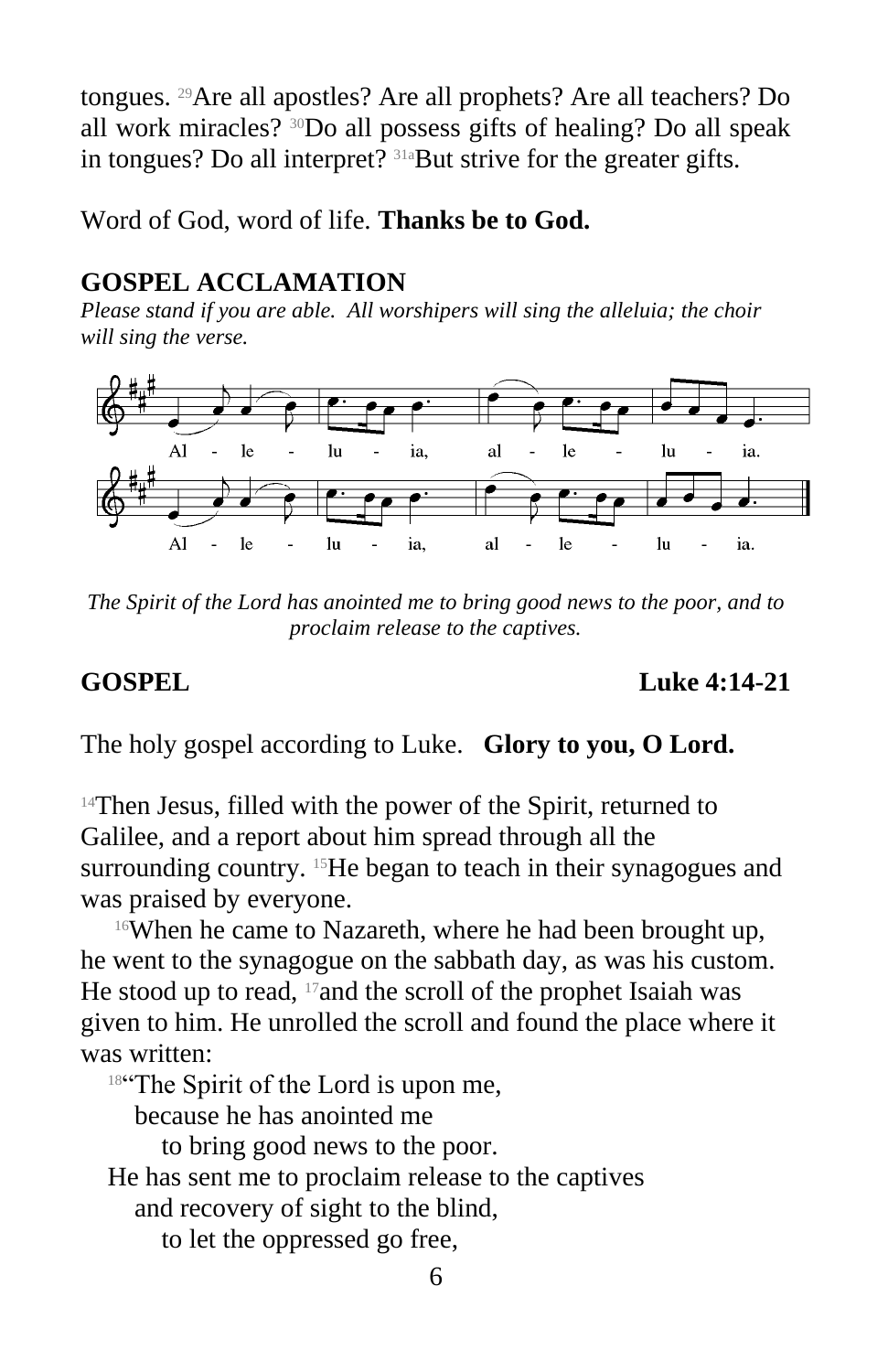tongues. 29Are all apostles? Are all prophets? Are all teachers? Do all work miracles? 30Do all possess gifts of healing? Do all speak in tongues? Do all interpret? 31aBut strive for the greater gifts.

Word of God, word of life. **Thanks be to God.**

# **GOSPEL ACCLAMATION**

*Please stand if you are able. All worshipers will sing the alleluia; the choir will sing the verse.*



*The Spirit of the Lord has anointed me to bring good news to the poor, and to proclaim release to the captives.* 

**GOSPEL** Luke 4:14-21

The holy gospel according to Luke. **Glory to you, O Lord.**

<sup>14</sup>Then Jesus, filled with the power of the Spirit, returned to Galilee, and a report about him spread through all the surrounding country. <sup>15</sup>He began to teach in their synagogues and was praised by everyone.

<sup>16</sup>When he came to Nazareth, where he had been brought up, he went to the synagogue on the sabbath day, as was his custom. He stood up to read, <sup>17</sup>and the scroll of the prophet Isaiah was given to him. He unrolled the scroll and found the place where it was written:

18"The Spirit of the Lord is upon me,

because he has anointed me

to bring good news to the poor.

He has sent me to proclaim release to the captives

and recovery of sight to the blind,

to let the oppressed go free,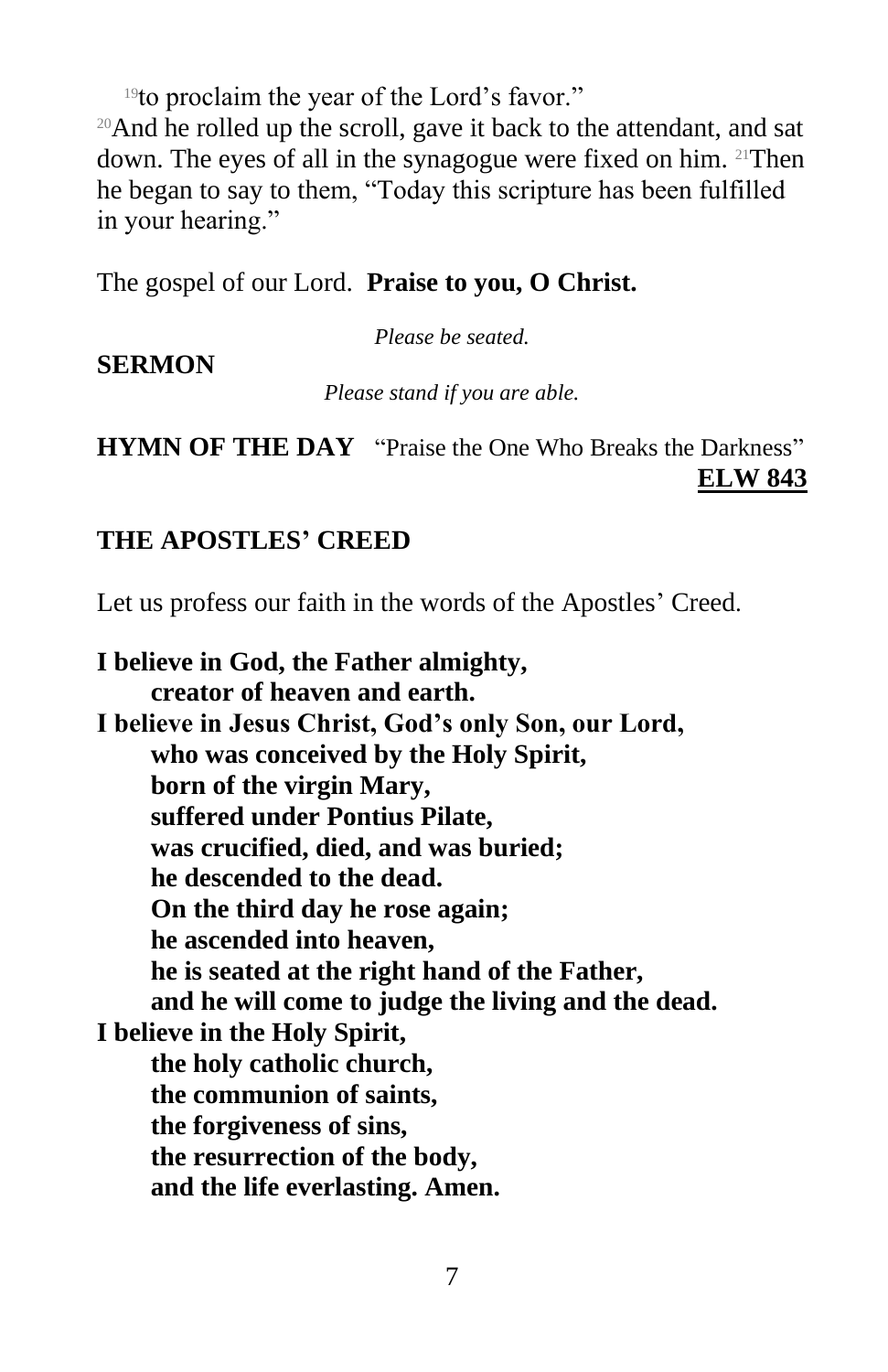<sup>19</sup>to proclaim the year of the Lord's favor."

<sup>20</sup>And he rolled up the scroll, gave it back to the attendant, and sat down. The eyes of all in the synagogue were fixed on him. 21Then he began to say to them, "Today this scripture has been fulfilled in your hearing."

The gospel of our Lord. **Praise to you, O Christ.**

*Please be seated.*

### **SERMON**

*Please stand if you are able.*

**HYMN OF THE DAY** "Praise the One Who Breaks the Darkness" **ELW 843**

# **THE APOSTLES' CREED**

Let us profess our faith in the words of the Apostles' Creed.

**I believe in God, the Father almighty, creator of heaven and earth. I believe in Jesus Christ, God's only Son, our Lord, who was conceived by the Holy Spirit, born of the virgin Mary, suffered under Pontius Pilate, was crucified, died, and was buried; he descended to the dead. On the third day he rose again; he ascended into heaven, he is seated at the right hand of the Father, and he will come to judge the living and the dead. I believe in the Holy Spirit, the holy catholic church, the communion of saints, the forgiveness of sins, the resurrection of the body, and the life everlasting. Amen.**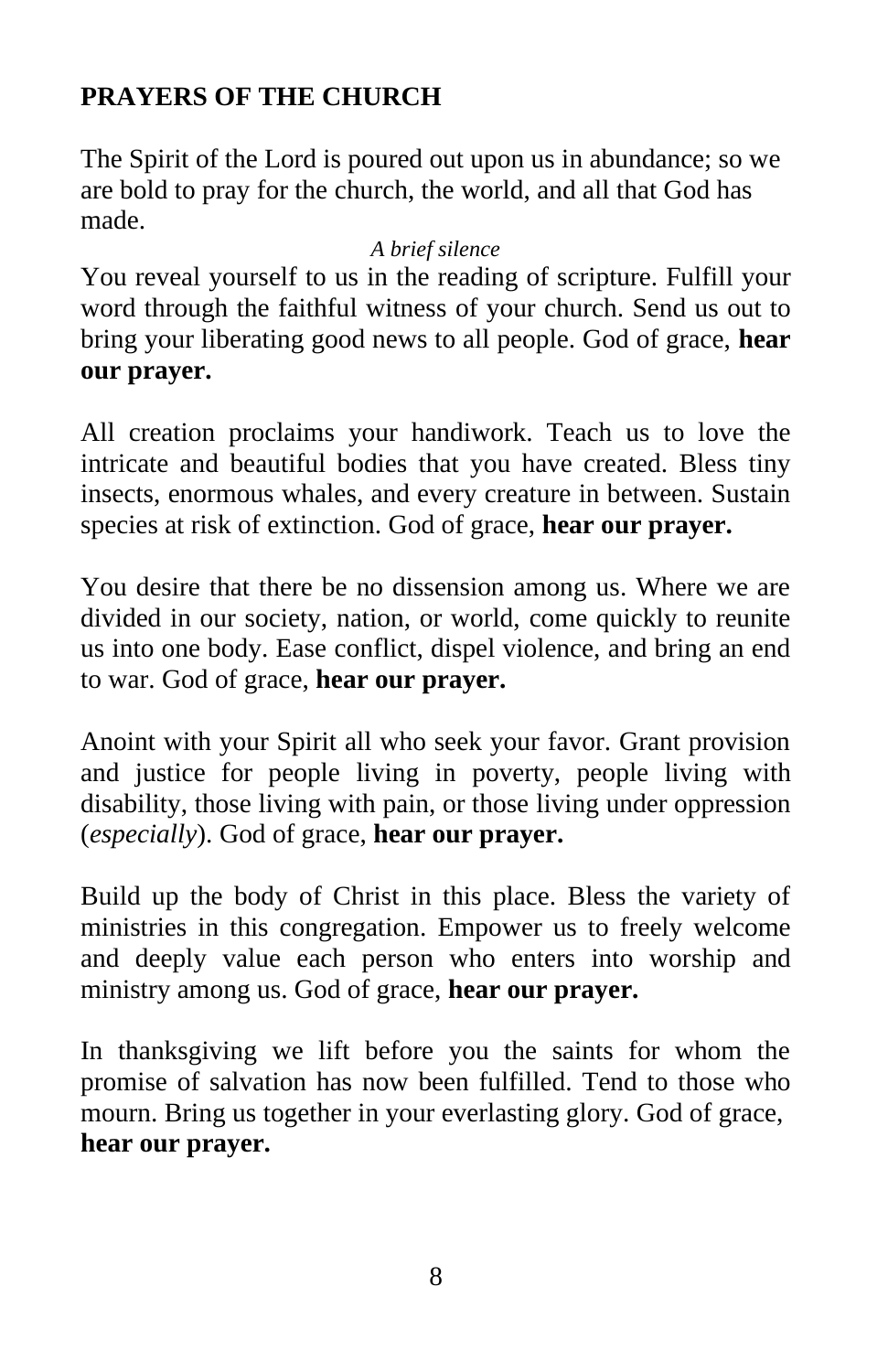# **PRAYERS OF THE CHURCH**

The Spirit of the Lord is poured out upon us in abundance; so we are bold to pray for the church, the world, and all that God has made.

#### *A brief silence*

You reveal yourself to us in the reading of scripture. Fulfill your word through the faithful witness of your church. Send us out to bring your liberating good news to all people. God of grace, **hear our prayer.**

All creation proclaims your handiwork. Teach us to love the intricate and beautiful bodies that you have created. Bless tiny insects, enormous whales, and every creature in between. Sustain species at risk of extinction. God of grace, **hear our prayer.**

You desire that there be no dissension among us. Where we are divided in our society, nation, or world, come quickly to reunite us into one body. Ease conflict, dispel violence, and bring an end to war. God of grace, **hear our prayer.**

Anoint with your Spirit all who seek your favor. Grant provision and justice for people living in poverty, people living with disability, those living with pain, or those living under oppression (*especially*). God of grace, **hear our prayer.**

Build up the body of Christ in this place. Bless the variety of ministries in this congregation. Empower us to freely welcome and deeply value each person who enters into worship and ministry among us. God of grace, **hear our prayer.**

In thanksgiving we lift before you the saints for whom the promise of salvation has now been fulfilled. Tend to those who mourn. Bring us together in your everlasting glory. God of grace, **hear our prayer.**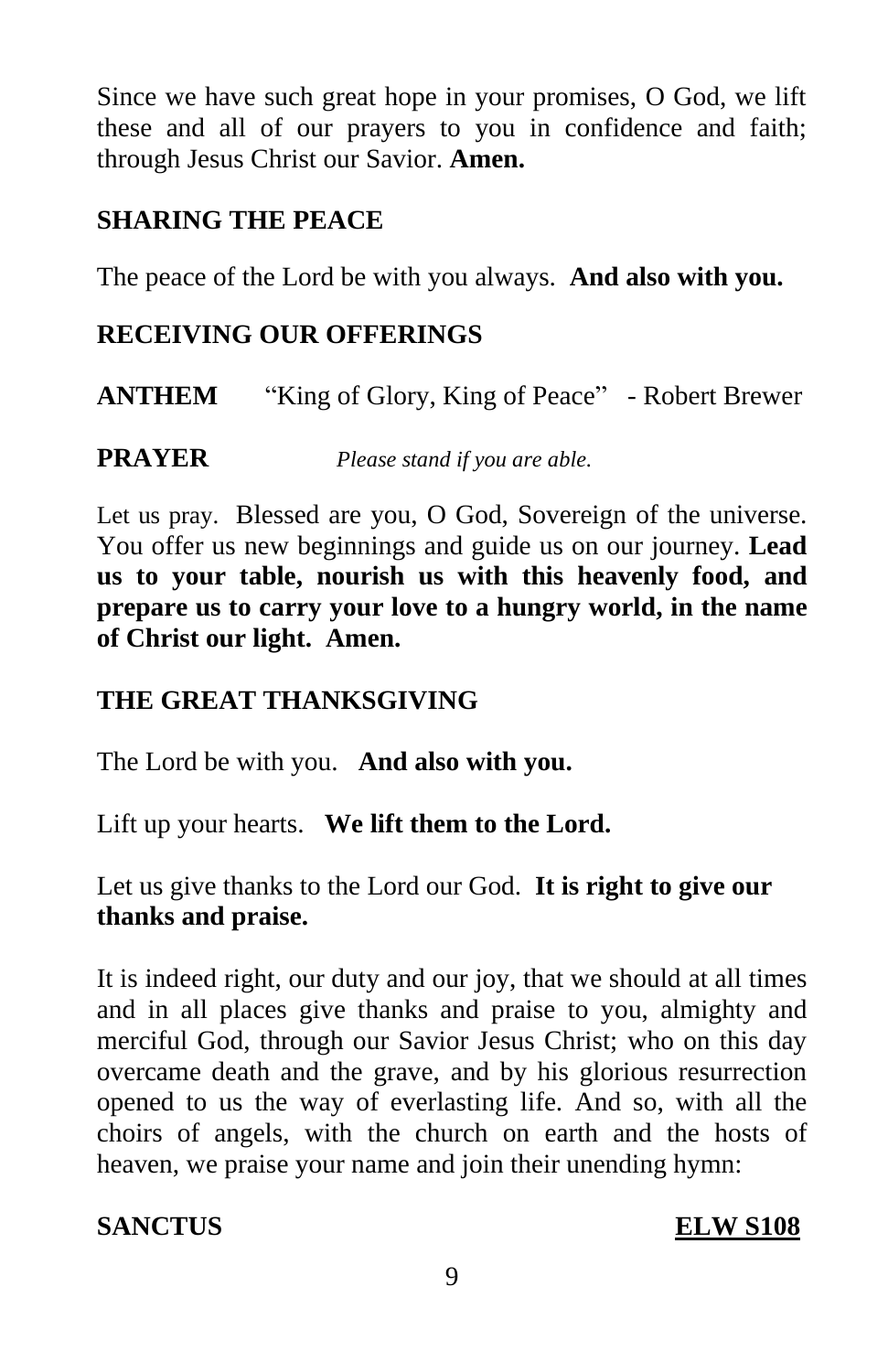Since we have such great hope in your promises, O God, we lift these and all of our prayers to you in confidence and faith; through Jesus Christ our Savior. **Amen.**

# **SHARING THE PEACE**

The peace of the Lord be with you always. **And also with you.**

### **RECEIVING OUR OFFERINGS**

**ANTHEM** "King of Glory, King of Peace" - Robert Brewer

**PRAYER** *Please stand if you are able.*

Let us pray. Blessed are you, O God, Sovereign of the universe. You offer us new beginnings and guide us on our journey. **Lead us to your table, nourish us with this heavenly food, and prepare us to carry your love to a hungry world, in the name of Christ our light. Amen.**

# **THE GREAT THANKSGIVING**

The Lord be with you. **And also with you.**

Lift up your hearts. **We lift them to the Lord.**

Let us give thanks to the Lord our God. **It is right to give our thanks and praise.**

It is indeed right, our duty and our joy, that we should at all times and in all places give thanks and praise to you, almighty and merciful God, through our Savior Jesus Christ; who on this day overcame death and the grave, and by his glorious resurrection opened to us the way of everlasting life. And so, with all the choirs of angels, with the church on earth and the hosts of heaven, we praise your name and join their unending hymn:

**SANCTUS ELW S108**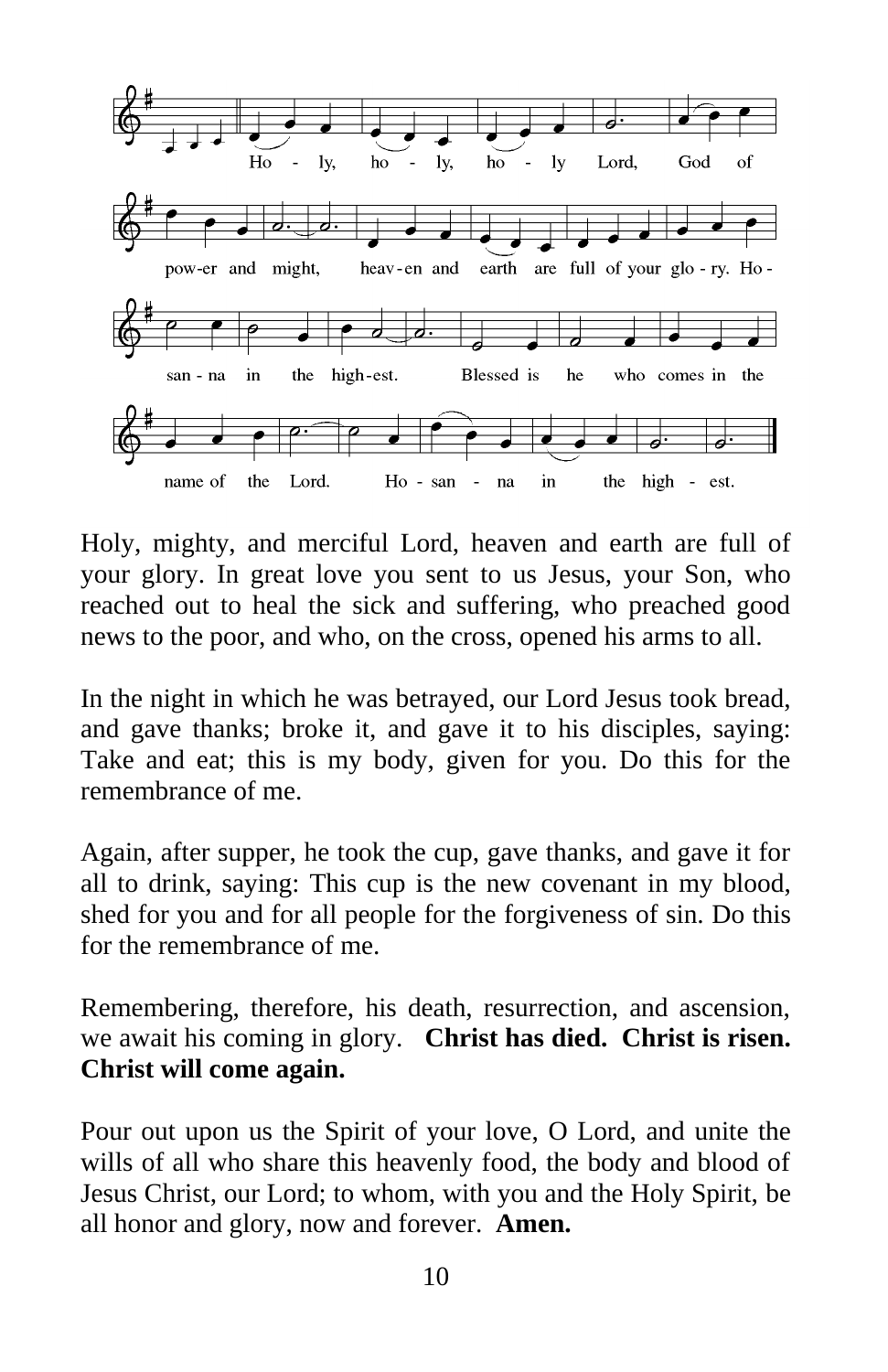

Holy, mighty, and merciful Lord, heaven and earth are full of your glory. In great love you sent to us Jesus, your Son, who reached out to heal the sick and suffering, who preached good news to the poor, and who, on the cross, opened his arms to all.

In the night in which he was betrayed, our Lord Jesus took bread, and gave thanks; broke it, and gave it to his disciples, saying: Take and eat; this is my body, given for you. Do this for the remembrance of me.

Again, after supper, he took the cup, gave thanks, and gave it for all to drink, saying: This cup is the new covenant in my blood, shed for you and for all people for the forgiveness of sin. Do this for the remembrance of me.

Remembering, therefore, his death, resurrection, and ascension, we await his coming in glory. **Christ has died. Christ is risen. Christ will come again.** 

Pour out upon us the Spirit of your love, O Lord, and unite the wills of all who share this heavenly food, the body and blood of Jesus Christ, our Lord; to whom, with you and the Holy Spirit, be all honor and glory, now and forever. **Amen.**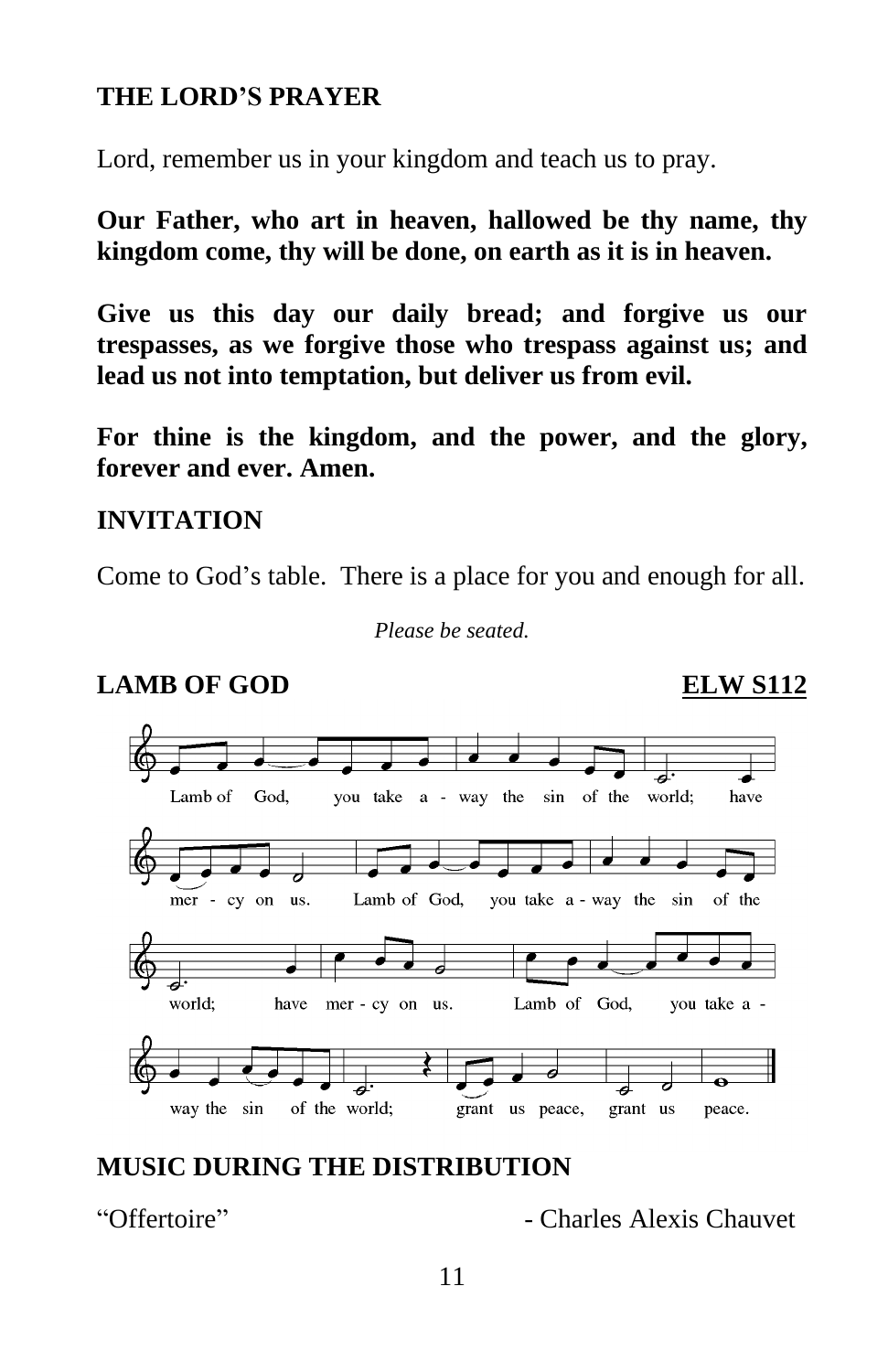### **THE LORD'S PRAYER**

Lord, remember us in your kingdom and teach us to pray.

**Our Father, who art in heaven, hallowed be thy name, thy kingdom come, thy will be done, on earth as it is in heaven.**

**Give us this day our daily bread; and forgive us our trespasses, as we forgive those who trespass against us; and lead us not into temptation, but deliver us from evil.**

**For thine is the kingdom, and the power, and the glory, forever and ever. Amen.**

#### **INVITATION**

Come to God's table. There is a place for you and enough for all.

*Please be seated.*

### **LAMB OF GOD ELW S112**

#### Lamb of God, you take a - way the sin of the world; have Lamb of God, you take a - way the sin of the mer - cy on us. Lamb of God, world; have mer - cy on us. you take a way the sin of the world; grant us peace, grant us peace.

# **MUSIC DURING THE DISTRIBUTION**

"Offertoire" - Charles Alexis Chauvet